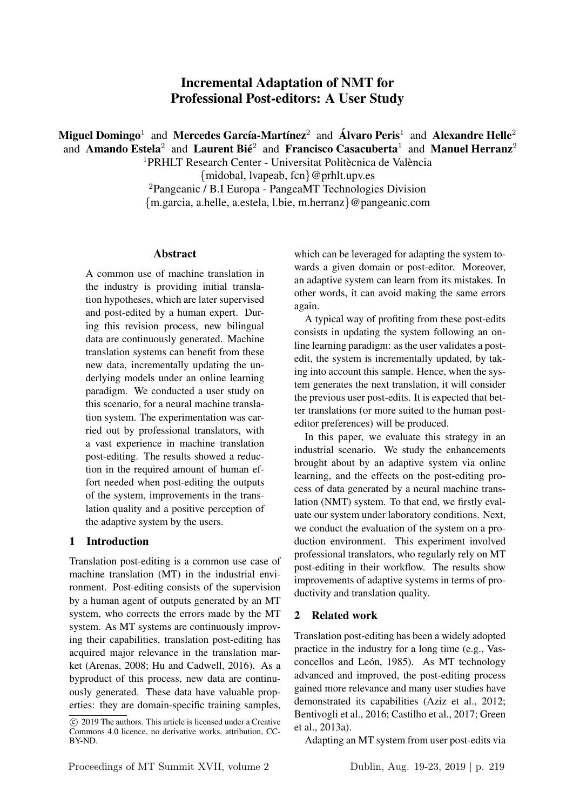# Incremental Adaptation of NMT for Professional Post-editors: A User Study

Miguel Domingo<sup>1</sup> and Mercedes García-Martínez<sup>2</sup> and Álvaro Peris<sup>1</sup> and Alexandre Helle<sup>2</sup> and Amando Estela<sup>2</sup> and Laurent Bié<sup>2</sup> and Francisco Casacuberta<sup>1</sup> and Manuel Herranz<sup>2</sup>

 $1$ PRHLT Research Center - Universitat Politècnica de València

{midobal, lvapeab, fcn}@prhlt.upv.es

<sup>2</sup>Pangeanic / B.I Europa - PangeaMT Technologies Division

{m.garcia, a.helle, a.estela, l.bie, m.herranz}@pangeanic.com

#### Abstract

A common use of machine translation in the industry is providing initial translation hypotheses, which are later supervised and post-edited by a human expert. During this revision process, new bilingual data are continuously generated. Machine translation systems can benefit from these new data, incrementally updating the underlying models under an online learning paradigm. We conducted a user study on this scenario, for a neural machine translation system. The experimentation was carried out by professional translators, with a vast experience in machine translation post-editing. The results showed a reduction in the required amount of human effort needed when post-editing the outputs of the system, improvements in the translation quality and a positive perception of the adaptive system by the users.

## 1 Introduction

Translation post-editing is a common use case of machine translation (MT) in the industrial environment. Post-editing consists of the supervision by a human agent of outputs generated by an MT system, who corrects the errors made by the MT system. As MT systems are continuously improving their capabilities, translation post-editing has acquired major relevance in the translation market (Arenas, 2008; Hu and Cadwell, 2016). As a byproduct of this process, new data are continuously generated. These data have valuable properties: they are domain-specific training samples,

which can be leveraged for adapting the system towards a given domain or post-editor. Moreover, an adaptive system can learn from its mistakes. In other words, it can avoid making the same errors again.

A typical way of profiting from these post-edits consists in updating the system following an online learning paradigm: as the user validates a postedit, the system is incrementally updated, by taking into account this sample. Hence, when the system generates the next translation, it will consider the previous user post-edits. It is expected that better translations (or more suited to the human posteditor preferences) will be produced.

In this paper, we evaluate this strategy in an industrial scenario. We study the enhancements brought about by an adaptive system via online learning, and the effects on the post-editing process of data generated by a neural machine translation (NMT) system. To that end, we firstly evaluate our system under laboratory conditions. Next, we conduct the evaluation of the system on a production environment. This experiment involved professional translators, who regularly rely on MT post-editing in their workflow. The results show improvements of adaptive systems in terms of productivity and translation quality.

## 2 Related work

Translation post-editing has been a widely adopted practice in the industry for a long time (e.g., Vasconcellos and León, 1985). As MT technology advanced and improved, the post-editing process gained more relevance and many user studies have demonstrated its capabilities (Aziz et al., 2012; Bentivogli et al., 2016; Castilho et al., 2017; Green et al., 2013a).

Adapting an MT system from user post-edits via

 $\overline{c}$  2019 The authors. This article is licensed under a Creative Commons 4.0 licence, no derivative works, attribution, CC-BY-ND.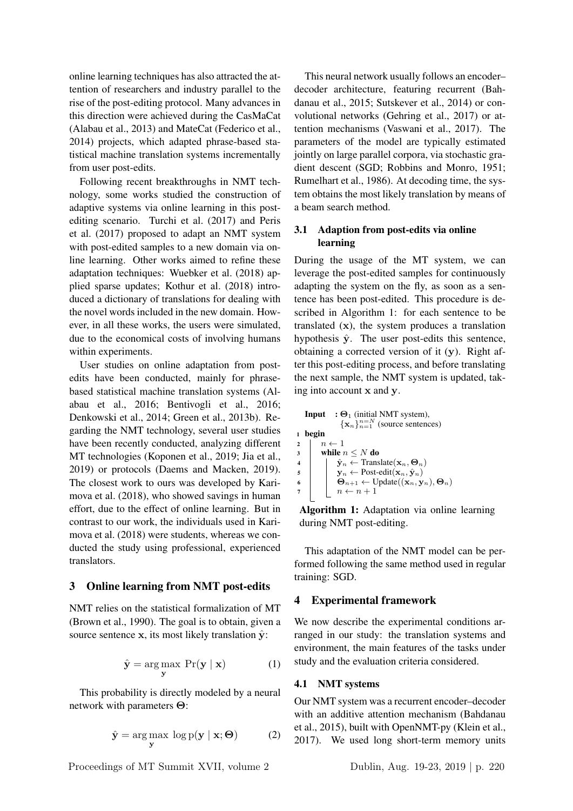online learning techniques has also attracted the attention of researchers and industry parallel to the rise of the post-editing protocol. Many advances in this direction were achieved during the CasMaCat (Alabau et al., 2013) and MateCat (Federico et al., 2014) projects, which adapted phrase-based statistical machine translation systems incrementally from user post-edits.

Following recent breakthroughs in NMT technology, some works studied the construction of adaptive systems via online learning in this postediting scenario. Turchi et al. (2017) and Peris et al. (2017) proposed to adapt an NMT system with post-edited samples to a new domain via online learning. Other works aimed to refine these adaptation techniques: Wuebker et al. (2018) applied sparse updates; Kothur et al. (2018) introduced a dictionary of translations for dealing with the novel words included in the new domain. However, in all these works, the users were simulated, due to the economical costs of involving humans within experiments.

User studies on online adaptation from postedits have been conducted, mainly for phrasebased statistical machine translation systems (Alabau et al., 2016; Bentivogli et al., 2016; Denkowski et al., 2014; Green et al., 2013b). Regarding the NMT technology, several user studies have been recently conducted, analyzing different MT technologies (Koponen et al., 2019; Jia et al., 2019) or protocols (Daems and Macken, 2019). The closest work to ours was developed by Karimova et al. (2018), who showed savings in human effort, due to the effect of online learning. But in contrast to our work, the individuals used in Karimova et al. (2018) were students, whereas we conducted the study using professional, experienced translators.

#### 3 Online learning from NMT post-edits

NMT relies on the statistical formalization of MT (Brown et al., 1990). The goal is to obtain, given a source sentence x, its most likely translation  $\hat{y}$ :

$$
\hat{\mathbf{y}} = \underset{\mathbf{y}}{\arg \max} \ \Pr(\mathbf{y} \mid \mathbf{x}) \tag{1}
$$

This probability is directly modeled by a neural network with parameters Θ:

$$
\hat{\mathbf{y}} = \underset{\mathbf{y}}{\arg \max} \log p(\mathbf{y} \mid \mathbf{x}; \Theta) \tag{2}
$$

Proceedings of MT Summit XVII, volume 2 Dublin, Aug. 19-23, 2019 | p. 220

This neural network usually follows an encoder– decoder architecture, featuring recurrent (Bahdanau et al., 2015; Sutskever et al., 2014) or convolutional networks (Gehring et al., 2017) or attention mechanisms (Vaswani et al., 2017). The parameters of the model are typically estimated jointly on large parallel corpora, via stochastic gradient descent (SGD; Robbins and Monro, 1951; Rumelhart et al., 1986). At decoding time, the system obtains the most likely translation by means of a beam search method.

## 3.1 Adaption from post-edits via online learning

During the usage of the MT system, we can leverage the post-edited samples for continuously adapting the system on the fly, as soon as a sentence has been post-edited. This procedure is described in Algorithm 1: for each sentence to be translated (x), the system produces a translation hypothesis  $\hat{y}$ . The user post-edits this sentence, obtaining a corrected version of it (y). Right after this post-editing process, and before translating the next sample, the NMT system is updated, taking into account x and y.

```
Input : \Theta_1 (initial NMT system),
                                              \{x_n\}_{n=1}^{n=N} (source sentences)
1 begin
2 \begin{array}{c} \n\frac{2}{3} \n\end{array} \begin{array}{c} \n\frac{n}{2} \n\end{array} while n
\begin{array}{c|c}\n\mathbf{3} & \mathbf{while} \; n \leq N \; \mathbf{do} \\
\hline\n\mathbf{4} & \mathbf{if} \; \hat{\mathbf{v}}_n \leftarrow \text{Trans}\n\end{array}4 \begin{pmatrix} \hat{\mathbf{y}}_n \leftarrow \text{Translate}(\mathbf{x}_n, \mathbf{\Theta}_n) \\ \mathbf{y}_n \leftarrow \text{Post-edit}(\mathbf{x}_n, \hat{\mathbf{y}}_n) \end{pmatrix}\begin{array}{c|c} \n\mathbf{5} & \mathbf{y}_n \leftarrow \text{Post-edit}(\mathbf{x}_n, \hat{\mathbf{y}}_n) \\
\mathbf{\Theta}_{n+1} \leftarrow \text{Update}((\mathbf{x}_n, \mathbf{y}_n))\n\end{array}\Theta_{n+1} \leftarrow \text{Update}((\mathbf{x}_n, \mathbf{y}_n), \Theta_n)n \leftarrow n + 1
```
Algorithm 1: Adaptation via online learning during NMT post-editing.

This adaptation of the NMT model can be performed following the same method used in regular training: SGD.

## 4 Experimental framework

We now describe the experimental conditions arranged in our study: the translation systems and environment, the main features of the tasks under study and the evaluation criteria considered.

## 4.1 NMT systems

Our NMT system was a recurrent encoder–decoder with an additive attention mechanism (Bahdanau et al., 2015), built with OpenNMT-py (Klein et al., 2017). We used long short-term memory units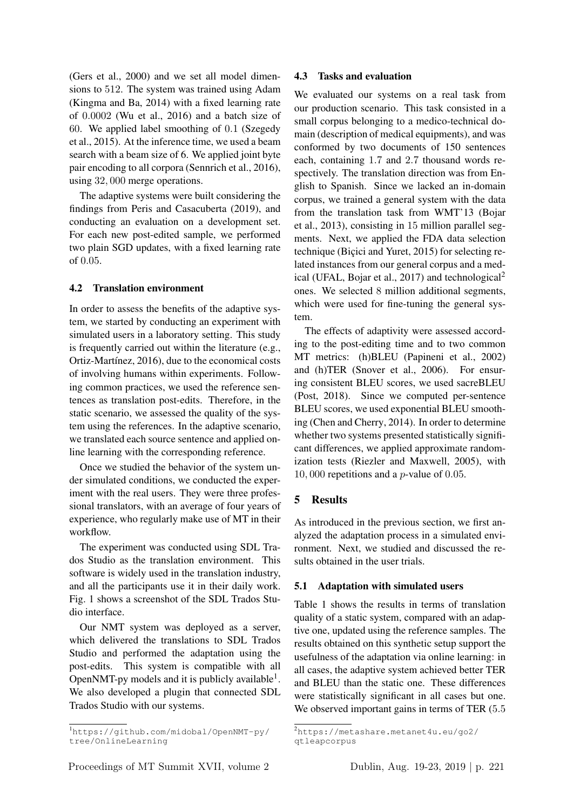(Gers et al., 2000) and we set all model dimensions to 512. The system was trained using Adam (Kingma and Ba, 2014) with a fixed learning rate of 0.0002 (Wu et al., 2016) and a batch size of 60. We applied label smoothing of 0.1 (Szegedy et al., 2015). At the inference time, we used a beam search with a beam size of 6. We applied joint byte pair encoding to all corpora (Sennrich et al., 2016), using 32, 000 merge operations.

The adaptive systems were built considering the findings from Peris and Casacuberta (2019), and conducting an evaluation on a development set. For each new post-edited sample, we performed two plain SGD updates, with a fixed learning rate of 0.05.

## 4.2 Translation environment

In order to assess the benefits of the adaptive system, we started by conducting an experiment with simulated users in a laboratory setting. This study is frequently carried out within the literature (e.g., Ortiz-Martínez, 2016), due to the economical costs of involving humans within experiments. Following common practices, we used the reference sentences as translation post-edits. Therefore, in the static scenario, we assessed the quality of the system using the references. In the adaptive scenario, we translated each source sentence and applied online learning with the corresponding reference.

Once we studied the behavior of the system under simulated conditions, we conducted the experiment with the real users. They were three professional translators, with an average of four years of experience, who regularly make use of MT in their workflow.

The experiment was conducted using SDL Trados Studio as the translation environment. This software is widely used in the translation industry, and all the participants use it in their daily work. Fig. 1 shows a screenshot of the SDL Trados Studio interface.

Our NMT system was deployed as a server, which delivered the translations to SDL Trados Studio and performed the adaptation using the post-edits. This system is compatible with all OpenNMT-py models and it is publicly available<sup>1</sup>. We also developed a plugin that connected SDL Trados Studio with our systems.

#### 4.3 Tasks and evaluation

We evaluated our systems on a real task from our production scenario. This task consisted in a small corpus belonging to a medico-technical domain (description of medical equipments), and was conformed by two documents of 150 sentences each, containing 1.7 and 2.7 thousand words respectively. The translation direction was from English to Spanish. Since we lacked an in-domain corpus, we trained a general system with the data from the translation task from WMT'13 (Bojar et al., 2013), consisting in 15 million parallel segments. Next, we applied the FDA data selection technique (Bicici and Yuret, 2015) for selecting related instances from our general corpus and a medical (UFAL, Bojar et al., 2017) and technological<sup>2</sup> ones. We selected 8 million additional segments, which were used for fine-tuning the general system.

The effects of adaptivity were assessed according to the post-editing time and to two common MT metrics: (h)BLEU (Papineni et al., 2002) and (h)TER (Snover et al., 2006). For ensuring consistent BLEU scores, we used sacreBLEU (Post, 2018). Since we computed per-sentence BLEU scores, we used exponential BLEU smoothing (Chen and Cherry, 2014). In order to determine whether two systems presented statistically significant differences, we applied approximate randomization tests (Riezler and Maxwell, 2005), with 10, 000 repetitions and a  $p$ -value of 0.05.

## 5 Results

As introduced in the previous section, we first analyzed the adaptation process in a simulated environment. Next, we studied and discussed the results obtained in the user trials.

#### 5.1 Adaptation with simulated users

Table 1 shows the results in terms of translation quality of a static system, compared with an adaptive one, updated using the reference samples. The results obtained on this synthetic setup support the usefulness of the adaptation via online learning: in all cases, the adaptive system achieved better TER and BLEU than the static one. These differences were statistically significant in all cases but one. We observed important gains in terms of TER  $(5.5)$ 

<sup>1</sup>https://github.com/midobal/OpenNMT-py/ tree/OnlineLearning

<sup>2</sup>https://metashare.metanet4u.eu/go2/ qtleapcorpus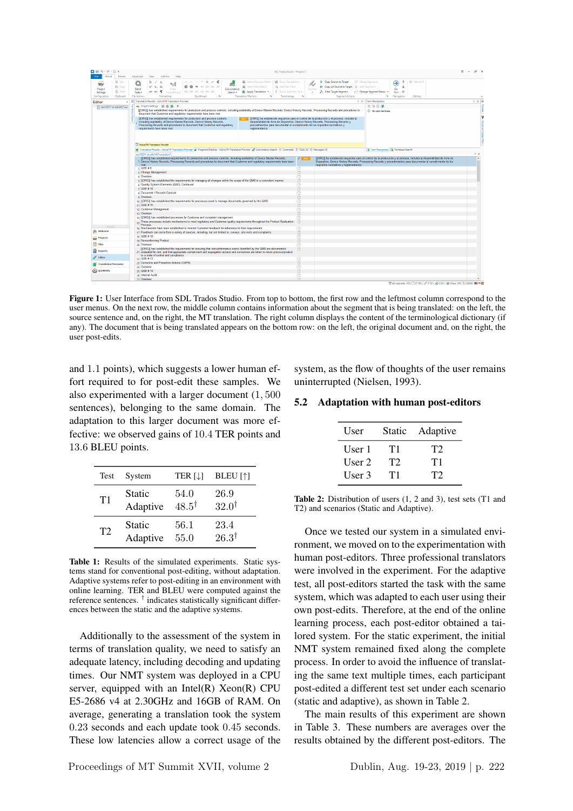

Figure 1: User Interface from SDL Trados Studio. From top to bottom, the first row and the leftmost column correspond to the user menus. On the next row, the middle column contains information about the segment that is being translated: on the left, the source sentence and, on the right, the MT translation. The right column displays the content of the terminological dictionary (if any). The document that is being translated appears on the bottom row: on the left, the original document and, on the right, the user post-edits.

and 1.1 points), which suggests a lower human effort required to for post-edit these samples. We also experimented with a larger document (1, 500 sentences), belonging to the same domain. The adaptation to this larger document was more effective: we observed gains of 10.4 TER points and 13.6 BLEU points.

| Test | System        | TER $[\downarrow]$ | <b>BLEU</b> [↑]   |
|------|---------------|--------------------|-------------------|
| T1   | <b>Static</b> | 54.0               | 26.9              |
|      | Adaptive      | $48.5^{\dagger}$   | 32.0 <sup>†</sup> |
| T2   | <b>Static</b> | 56.1               | 23.4              |
|      | Adaptive      | 55.0               | $26.3^{\dagger}$  |

Table 1: Results of the simulated experiments. Static systems stand for conventional post-editing, without adaptation. Adaptive systems refer to post-editing in an environment with online learning. TER and BLEU were computed against the reference sentences. † indicates statistically significant differences between the static and the adaptive systems.

Additionally to the assessment of the system in terms of translation quality, we need to satisfy an adequate latency, including decoding and updating times. Our NMT system was deployed in a CPU server, equipped with an Intel(R) Xeon(R) CPU E5-2686 v4 at 2.30GHz and 16GB of RAM. On average, generating a translation took the system 0.23 seconds and each update took 0.45 seconds. These low latencies allow a correct usage of the

system, as the flow of thoughts of the user remains uninterrupted (Nielsen, 1993).

#### 5.2 Adaptation with human post-editors

| User     | Static | Adaptive |
|----------|--------|----------|
| User 1   | T1     | T2       |
| User $2$ | T2     | T1       |
| User 3   | T1     | T2       |

Table 2: Distribution of users (1, 2 and 3), test sets (T1 and T2) and scenarios (Static and Adaptive).

Once we tested our system in a simulated environment, we moved on to the experimentation with human post-editors. Three professional translators were involved in the experiment. For the adaptive test, all post-editors started the task with the same system, which was adapted to each user using their own post-edits. Therefore, at the end of the online learning process, each post-editor obtained a tailored system. For the static experiment, the initial NMT system remained fixed along the complete process. In order to avoid the influence of translating the same text multiple times, each participant post-edited a different test set under each scenario (static and adaptive), as shown in Table 2.

The main results of this experiment are shown in Table 3. These numbers are averages over the results obtained by the different post-editors. The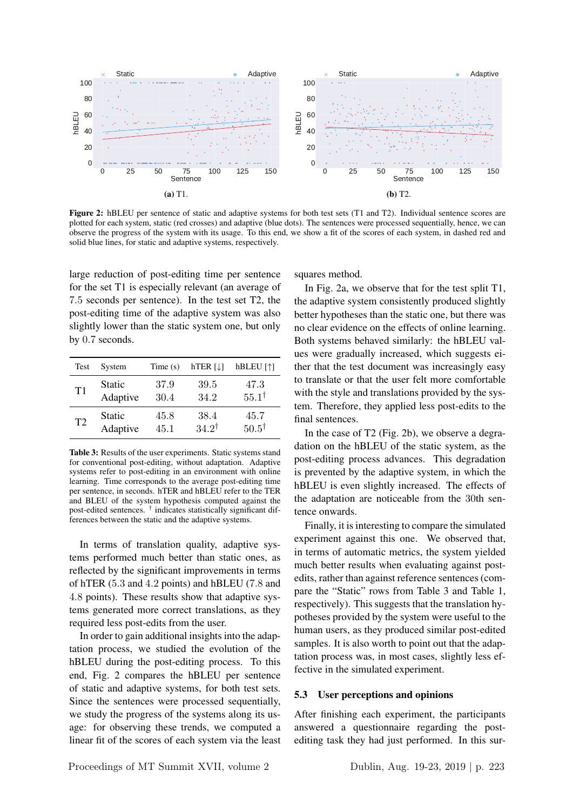

Figure 2: hBLEU per sentence of static and adaptive systems for both test sets (T1 and T2). Individual sentence scores are plotted for each system, static (red crosses) and adaptive (blue dots). The sentences were processed sequentially, hence, we can observe the progress of the system with its usage. To this end, we show a fit of the scores of each system, in dashed red and solid blue lines, for static and adaptive systems, respectively.

large reduction of post-editing time per sentence for the set T1 is especially relevant (an average of 7.5 seconds per sentence). In the test set T2, the post-editing time of the adaptive system was also slightly lower than the static system one, but only by 0.7 seconds.

| Test           | System        | Time $(s)$ | $hTER$ [ $\downarrow$ ] | hBLEU [1]        |
|----------------|---------------|------------|-------------------------|------------------|
| T1             | Static        | 37.9       | 39.5                    | 47.3             |
|                | Adaptive      | 30.4       | 34.2                    | $55.1^{\dagger}$ |
| T <sub>2</sub> | <b>Static</b> | 45.8       | 38.4                    | 45.7             |
|                | Adaptive      | 45.1       | $34.2^{\dagger}$        | $50.5^{\dagger}$ |

Table 3: Results of the user experiments. Static systems stand for conventional post-editing, without adaptation. Adaptive systems refer to post-editing in an environment with online learning. Time corresponds to the average post-editing time per sentence, in seconds. hTER and hBLEU refer to the TER and BLEU of the system hypothesis computed against the post-edited sentences. † indicates statistically significant differences between the static and the adaptive systems.

In terms of translation quality, adaptive systems performed much better than static ones, as reflected by the significant improvements in terms of hTER (5.3 and 4.2 points) and hBLEU (7.8 and 4.8 points). These results show that adaptive systems generated more correct translations, as they required less post-edits from the user.

In order to gain additional insights into the adaptation process, we studied the evolution of the hBLEU during the post-editing process. To this end, Fig. 2 compares the hBLEU per sentence of static and adaptive systems, for both test sets. Since the sentences were processed sequentially, we study the progress of the systems along its usage: for observing these trends, we computed a linear fit of the scores of each system via the least squares method.

In Fig. 2a, we observe that for the test split T1, the adaptive system consistently produced slightly better hypotheses than the static one, but there was no clear evidence on the effects of online learning. Both systems behaved similarly: the hBLEU values were gradually increased, which suggests either that the test document was increasingly easy to translate or that the user felt more comfortable with the style and translations provided by the system. Therefore, they applied less post-edits to the final sentences.

In the case of T2 (Fig. 2b), we observe a degradation on the hBLEU of the static system, as the post-editing process advances. This degradation is prevented by the adaptive system, in which the hBLEU is even slightly increased. The effects of the adaptation are noticeable from the 30th sentence onwards.

Finally, it is interesting to compare the simulated experiment against this one. We observed that, in terms of automatic metrics, the system yielded much better results when evaluating against postedits, rather than against reference sentences (compare the "Static" rows from Table 3 and Table 1, respectively). This suggests that the translation hypotheses provided by the system were useful to the human users, as they produced similar post-edited samples. It is also worth to point out that the adaptation process was, in most cases, slightly less effective in the simulated experiment.

#### 5.3 User perceptions and opinions

After finishing each experiment, the participants answered a questionnaire regarding the postediting task they had just performed. In this sur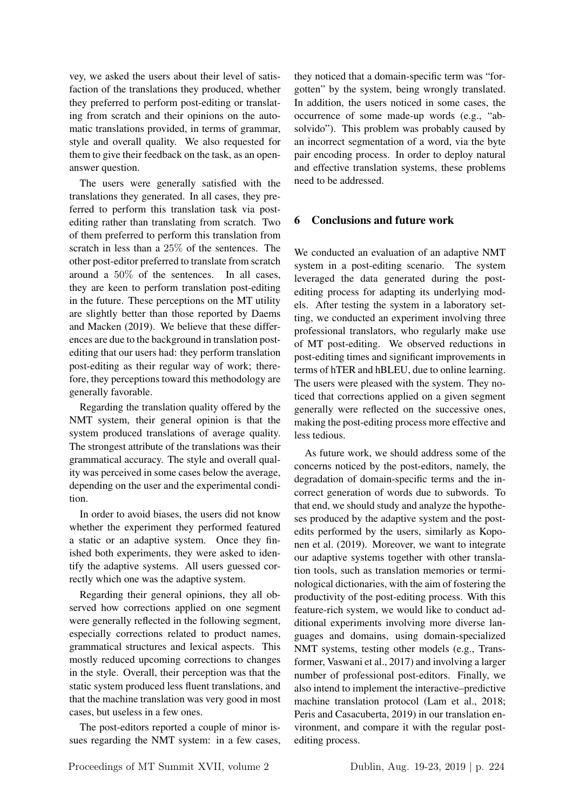vey, we asked the users about their level of satisfaction of the translations they produced, whether they preferred to perform post-editing or translating from scratch and their opinions on the automatic translations provided, in terms of grammar, style and overall quality. We also requested for them to give their feedback on the task, as an openanswer question.

The users were generally satisfied with the translations they generated. In all cases, they preferred to perform this translation task via postediting rather than translating from scratch. Two of them preferred to perform this translation from scratch in less than a 25% of the sentences. The other post-editor preferred to translate from scratch around a 50% of the sentences. In all cases, they are keen to perform translation post-editing in the future. These perceptions on the MT utility are slightly better than those reported by Daems and Macken (2019). We believe that these differences are due to the background in translation postediting that our users had: they perform translation post-editing as their regular way of work; therefore, they perceptions toward this methodology are generally favorable.

Regarding the translation quality offered by the NMT system, their general opinion is that the system produced translations of average quality. The strongest attribute of the translations was their grammatical accuracy. The style and overall quality was perceived in some cases below the average, depending on the user and the experimental condition.

In order to avoid biases, the users did not know whether the experiment they performed featured a static or an adaptive system. Once they finished both experiments, they were asked to identify the adaptive systems. All users guessed correctly which one was the adaptive system.

Regarding their general opinions, they all observed how corrections applied on one segment were generally reflected in the following segment, especially corrections related to product names, grammatical structures and lexical aspects. This mostly reduced upcoming corrections to changes in the style. Overall, their perception was that the static system produced less fluent translations, and that the machine translation was very good in most cases, but useless in a few ones.

The post-editors reported a couple of minor issues regarding the NMT system: in a few cases, they noticed that a domain-specific term was "forgotten" by the system, being wrongly translated. In addition, the users noticed in some cases, the occurrence of some made-up words (e.g., "absolvido"). This problem was probably caused by an incorrect segmentation of a word, via the byte pair encoding process. In order to deploy natural and effective translation systems, these problems need to be addressed.

## 6 Conclusions and future work

We conducted an evaluation of an adaptive NMT system in a post-editing scenario. The system leveraged the data generated during the postediting process for adapting its underlying models. After testing the system in a laboratory setting, we conducted an experiment involving three professional translators, who regularly make use of MT post-editing. We observed reductions in post-editing times and significant improvements in terms of hTER and hBLEU, due to online learning. The users were pleased with the system. They noticed that corrections applied on a given segment generally were reflected on the successive ones, making the post-editing process more effective and less tedious.

As future work, we should address some of the concerns noticed by the post-editors, namely, the degradation of domain-specific terms and the incorrect generation of words due to subwords. To that end, we should study and analyze the hypotheses produced by the adaptive system and the postedits performed by the users, similarly as Koponen et al. (2019). Moreover, we want to integrate our adaptive systems together with other translation tools, such as translation memories or terminological dictionaries, with the aim of fostering the productivity of the post-editing process. With this feature-rich system, we would like to conduct additional experiments involving more diverse languages and domains, using domain-specialized NMT systems, testing other models (e.g., Transformer, Vaswani et al., 2017) and involving a larger number of professional post-editors. Finally, we also intend to implement the interactive–predictive machine translation protocol (Lam et al., 2018; Peris and Casacuberta, 2019) in our translation environment, and compare it with the regular postediting process.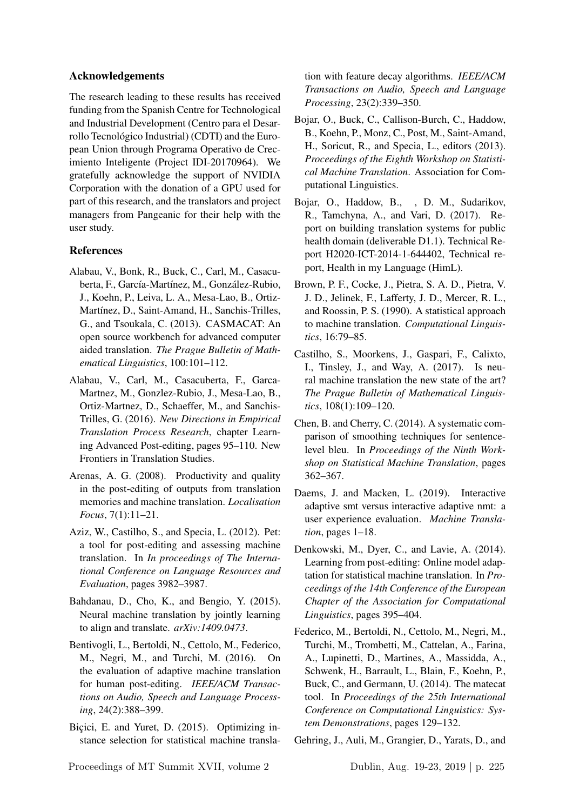## Acknowledgements

The research leading to these results has received funding from the Spanish Centre for Technological and Industrial Development (Centro para el Desarrollo Tecnológico Industrial) (CDTI) and the European Union through Programa Operativo de Crecimiento Inteligente (Project IDI-20170964). We gratefully acknowledge the support of NVIDIA Corporation with the donation of a GPU used for part of this research, and the translators and project managers from Pangeanic for their help with the user study.

#### References

- Alabau, V., Bonk, R., Buck, C., Carl, M., Casacuberta, F., García-Martínez, M., González-Rubio, J., Koehn, P., Leiva, L. A., Mesa-Lao, B., Ortiz-Martínez, D., Saint-Amand, H., Sanchis-Trilles, G., and Tsoukala, C. (2013). CASMACAT: An open source workbench for advanced computer aided translation. *The Prague Bulletin of Mathematical Linguistics*, 100:101–112.
- Alabau, V., Carl, M., Casacuberta, F., Garca-Martnez, M., Gonzlez-Rubio, J., Mesa-Lao, B., Ortiz-Martnez, D., Schaeffer, M., and Sanchis-Trilles, G. (2016). *New Directions in Empirical Translation Process Research*, chapter Learning Advanced Post-editing, pages 95–110. New Frontiers in Translation Studies.
- Arenas, A. G. (2008). Productivity and quality in the post-editing of outputs from translation memories and machine translation. *Localisation Focus*, 7(1):11–21.
- Aziz, W., Castilho, S., and Specia, L. (2012). Pet: a tool for post-editing and assessing machine translation. In *In proceedings of The International Conference on Language Resources and Evaluation*, pages 3982–3987.
- Bahdanau, D., Cho, K., and Bengio, Y. (2015). Neural machine translation by jointly learning to align and translate. *arXiv:1409.0473*.
- Bentivogli, L., Bertoldi, N., Cettolo, M., Federico, M., Negri, M., and Turchi, M. (2016). On the evaluation of adaptive machine translation for human post-editing. *IEEE/ACM Transactions on Audio, Speech and Language Processing*, 24(2):388–399.
- Bicici, E. and Yuret, D. (2015). Optimizing instance selection for statistical machine transla-

tion with feature decay algorithms. *IEEE/ACM Transactions on Audio, Speech and Language Processing*, 23(2):339–350.

- Bojar, O., Buck, C., Callison-Burch, C., Haddow, B., Koehn, P., Monz, C., Post, M., Saint-Amand, H., Soricut, R., and Specia, L., editors (2013). *Proceedings of the Eighth Workshop on Statistical Machine Translation*. Association for Computational Linguistics.
- Bojar, O., Haddow, B., , D. M., Sudarikov, R., Tamchyna, A., and Vari, D. (2017). Report on building translation systems for public health domain (deliverable D1.1). Technical Report H2020-ICT-2014-1-644402, Technical report, Health in my Language (HimL).
- Brown, P. F., Cocke, J., Pietra, S. A. D., Pietra, V. J. D., Jelinek, F., Lafferty, J. D., Mercer, R. L., and Roossin, P. S. (1990). A statistical approach to machine translation. *Computational Linguistics*, 16:79–85.
- Castilho, S., Moorkens, J., Gaspari, F., Calixto, I., Tinsley, J., and Way, A. (2017). Is neural machine translation the new state of the art? *The Prague Bulletin of Mathematical Linguistics*, 108(1):109–120.
- Chen, B. and Cherry, C. (2014). A systematic comparison of smoothing techniques for sentencelevel bleu. In *Proceedings of the Ninth Workshop on Statistical Machine Translation*, pages 362–367.
- Daems, J. and Macken, L. (2019). Interactive adaptive smt versus interactive adaptive nmt: a user experience evaluation. *Machine Translation*, pages 1–18.
- Denkowski, M., Dyer, C., and Lavie, A. (2014). Learning from post-editing: Online model adaptation for statistical machine translation. In *Proceedings of the 14th Conference of the European Chapter of the Association for Computational Linguistics*, pages 395–404.
- Federico, M., Bertoldi, N., Cettolo, M., Negri, M., Turchi, M., Trombetti, M., Cattelan, A., Farina, A., Lupinetti, D., Martines, A., Massidda, A., Schwenk, H., Barrault, L., Blain, F., Koehn, P., Buck, C., and Germann, U. (2014). The matecat tool. In *Proceedings of the 25th International Conference on Computational Linguistics: System Demonstrations*, pages 129–132.

Gehring, J., Auli, M., Grangier, D., Yarats, D., and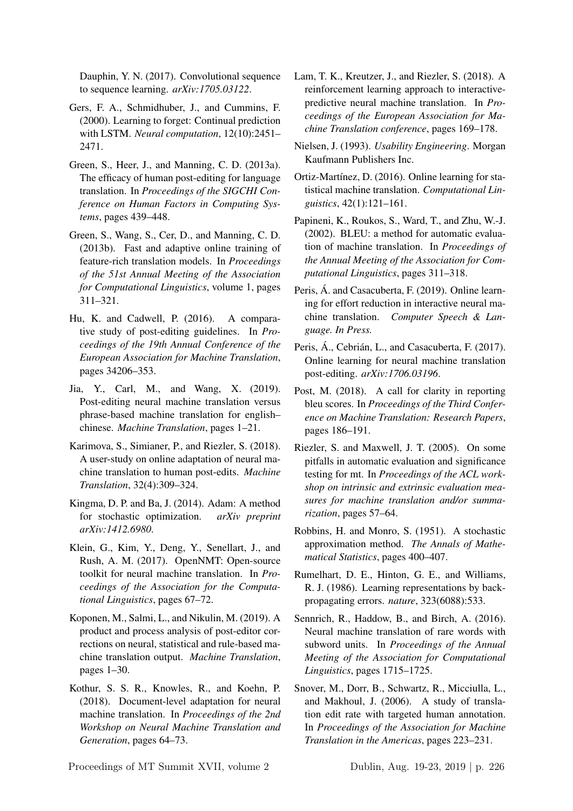Dauphin, Y. N. (2017). Convolutional sequence to sequence learning. *arXiv:1705.03122*.

- Gers, F. A., Schmidhuber, J., and Cummins, F. (2000). Learning to forget: Continual prediction with LSTM. *Neural computation*, 12(10):2451– 2471.
- Green, S., Heer, J., and Manning, C. D. (2013a). The efficacy of human post-editing for language translation. In *Proceedings of the SIGCHI Conference on Human Factors in Computing Systems*, pages 439–448.
- Green, S., Wang, S., Cer, D., and Manning, C. D. (2013b). Fast and adaptive online training of feature-rich translation models. In *Proceedings of the 51st Annual Meeting of the Association for Computational Linguistics*, volume 1, pages 311–321.
- Hu, K. and Cadwell, P. (2016). A comparative study of post-editing guidelines. In *Proceedings of the 19th Annual Conference of the European Association for Machine Translation*, pages 34206–353.
- Jia, Y., Carl, M., and Wang, X. (2019). Post-editing neural machine translation versus phrase-based machine translation for english– chinese. *Machine Translation*, pages 1–21.
- Karimova, S., Simianer, P., and Riezler, S. (2018). A user-study on online adaptation of neural machine translation to human post-edits. *Machine Translation*, 32(4):309–324.
- Kingma, D. P. and Ba, J. (2014). Adam: A method for stochastic optimization. *arXiv preprint arXiv:1412.6980*.
- Klein, G., Kim, Y., Deng, Y., Senellart, J., and Rush, A. M. (2017). OpenNMT: Open-source toolkit for neural machine translation. In *Proceedings of the Association for the Computational Linguistics*, pages 67–72.
- Koponen, M., Salmi, L., and Nikulin, M. (2019). A product and process analysis of post-editor corrections on neural, statistical and rule-based machine translation output. *Machine Translation*, pages 1–30.
- Kothur, S. S. R., Knowles, R., and Koehn, P. (2018). Document-level adaptation for neural machine translation. In *Proceedings of the 2nd Workshop on Neural Machine Translation and Generation*, pages 64–73.

Lam, T. K., Kreutzer, J., and Riezler, S. (2018). A reinforcement learning approach to interactivepredictive neural machine translation. In *Proceedings of the European Association for Machine Translation conference*, pages 169–178.

- Nielsen, J. (1993). *Usability Engineering*. Morgan Kaufmann Publishers Inc.
- Ortiz-Martínez, D. (2016). Online learning for statistical machine translation. *Computational Linguistics*, 42(1):121–161.
- Papineni, K., Roukos, S., Ward, T., and Zhu, W.-J. (2002). BLEU: a method for automatic evaluation of machine translation. In *Proceedings of the Annual Meeting of the Association for Computational Linguistics*, pages 311–318.
- Peris, Á. and Casacuberta, F. (2019). Online learning for effort reduction in interactive neural machine translation. *Computer Speech & Language. In Press.*
- Peris, Á., Cebrián, L., and Casacuberta, F. (2017). Online learning for neural machine translation post-editing. *arXiv:1706.03196*.
- Post, M. (2018). A call for clarity in reporting bleu scores. In *Proceedings of the Third Conference on Machine Translation: Research Papers*, pages 186–191.
- Riezler, S. and Maxwell, J. T. (2005). On some pitfalls in automatic evaluation and significance testing for mt. In *Proceedings of the ACL workshop on intrinsic and extrinsic evaluation measures for machine translation and/or summarization*, pages 57–64.
- Robbins, H. and Monro, S. (1951). A stochastic approximation method. *The Annals of Mathematical Statistics*, pages 400–407.
- Rumelhart, D. E., Hinton, G. E., and Williams, R. J. (1986). Learning representations by backpropagating errors. *nature*, 323(6088):533.
- Sennrich, R., Haddow, B., and Birch, A. (2016). Neural machine translation of rare words with subword units. In *Proceedings of the Annual Meeting of the Association for Computational Linguistics*, pages 1715–1725.
- Snover, M., Dorr, B., Schwartz, R., Micciulla, L., and Makhoul, J. (2006). A study of translation edit rate with targeted human annotation. In *Proceedings of the Association for Machine Translation in the Americas*, pages 223–231.

Proceedings of MT Summit XVII, volume 2 Dublin, Aug. 19-23, 2019 | p. 226